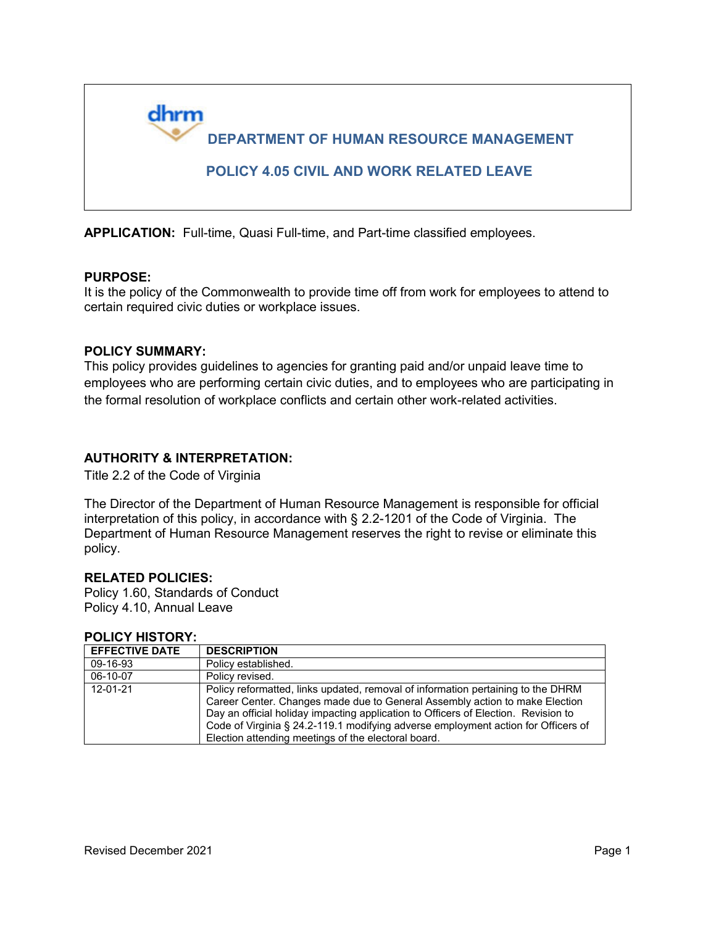

**APPLICATION:** Full-time, Quasi Full-time, and Part-time classified employees.

### **PURPOSE:**

It is the policy of the Commonwealth to provide time off from work for employees to attend to certain required civic duties or workplace issues.

#### **POLICY SUMMARY:**

This policy provides guidelines to agencies for granting paid and/or unpaid leave time to employees who are performing certain civic duties, and to employees who are participating in the formal resolution of workplace conflicts and certain other work-related activities.

### **AUTHORITY & INTERPRETATION:**

Title 2.2 of the Code of Virginia

The Director of the Department of Human Resource Management is responsible for official interpretation of this policy, in accordance with § 2.2-1201 of the Code of Virginia. The Department of Human Resource Management reserves the right to revise or eliminate this policy.

### **RELATED POLICIES:**

Policy 1.60, Standards of Conduct Policy 4.10, Annual Leave

#### **POLICY HISTORY:**

| <b>EFFECTIVE DATE</b> | <b>DESCRIPTION</b>                                                                                                                                                                                                                                                                                                                                                                                |
|-----------------------|---------------------------------------------------------------------------------------------------------------------------------------------------------------------------------------------------------------------------------------------------------------------------------------------------------------------------------------------------------------------------------------------------|
| 09-16-93              | Policy established.                                                                                                                                                                                                                                                                                                                                                                               |
| 06-10-07              | Policy revised.                                                                                                                                                                                                                                                                                                                                                                                   |
| 12-01-21              | Policy reformatted, links updated, removal of information pertaining to the DHRM<br>Career Center. Changes made due to General Assembly action to make Election<br>Day an official holiday impacting application to Officers of Election. Revision to<br>Code of Virginia § 24.2-119.1 modifying adverse employment action for Officers of<br>Election attending meetings of the electoral board. |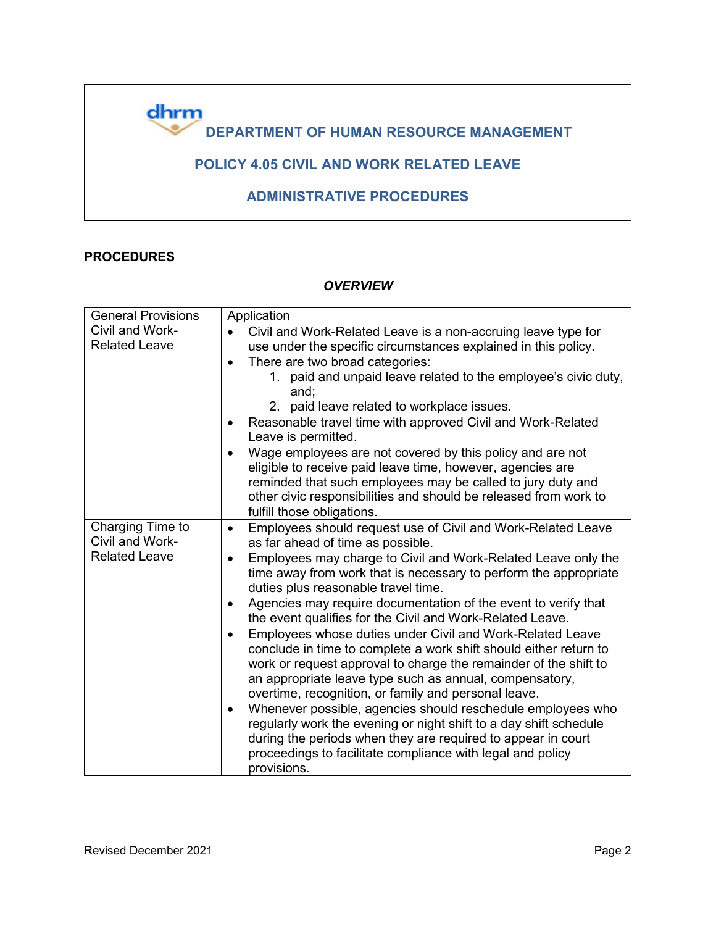

## **PROCEDURES**

### *OVERVIEW*

| <b>General Provisions</b>           | Application                                                                                                                                                                                                                                                                                                                        |
|-------------------------------------|------------------------------------------------------------------------------------------------------------------------------------------------------------------------------------------------------------------------------------------------------------------------------------------------------------------------------------|
| Civil and Work-                     | Civil and Work-Related Leave is a non-accruing leave type for                                                                                                                                                                                                                                                                      |
| <b>Related Leave</b>                | use under the specific circumstances explained in this policy.                                                                                                                                                                                                                                                                     |
|                                     | There are two broad categories:<br>$\bullet$                                                                                                                                                                                                                                                                                       |
|                                     | 1. paid and unpaid leave related to the employee's civic duty,<br>and;                                                                                                                                                                                                                                                             |
|                                     | 2. paid leave related to workplace issues.                                                                                                                                                                                                                                                                                         |
|                                     | Reasonable travel time with approved Civil and Work-Related<br>$\bullet$<br>Leave is permitted.                                                                                                                                                                                                                                    |
|                                     | Wage employees are not covered by this policy and are not<br>$\bullet$<br>eligible to receive paid leave time, however, agencies are<br>reminded that such employees may be called to jury duty and<br>other civic responsibilities and should be released from work to<br>fulfill those obligations.                              |
| Charging Time to<br>Civil and Work- | Employees should request use of Civil and Work-Related Leave<br>$\bullet$<br>as far ahead of time as possible.                                                                                                                                                                                                                     |
| <b>Related Leave</b>                | Employees may charge to Civil and Work-Related Leave only the<br>$\bullet$<br>time away from work that is necessary to perform the appropriate<br>duties plus reasonable travel time.                                                                                                                                              |
|                                     | Agencies may require documentation of the event to verify that<br>$\bullet$<br>the event qualifies for the Civil and Work-Related Leave.                                                                                                                                                                                           |
|                                     | Employees whose duties under Civil and Work-Related Leave<br>$\bullet$<br>conclude in time to complete a work shift should either return to<br>work or request approval to charge the remainder of the shift to<br>an appropriate leave type such as annual, compensatory,<br>overtime, recognition, or family and personal leave. |
|                                     | Whenever possible, agencies should reschedule employees who<br>$\bullet$<br>regularly work the evening or night shift to a day shift schedule<br>during the periods when they are required to appear in court<br>proceedings to facilitate compliance with legal and policy<br>provisions.                                         |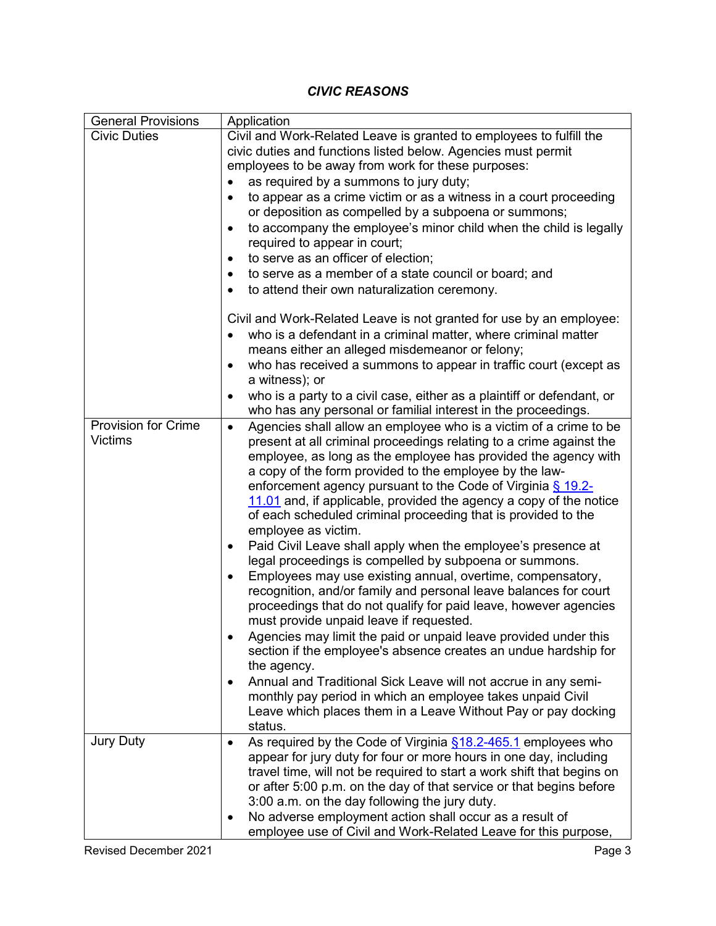## *CIVIC REASONS*

| <b>General Provisions</b>  | Application                                                                                                                         |
|----------------------------|-------------------------------------------------------------------------------------------------------------------------------------|
| <b>Civic Duties</b>        | Civil and Work-Related Leave is granted to employees to fulfill the                                                                 |
|                            | civic duties and functions listed below. Agencies must permit                                                                       |
|                            | employees to be away from work for these purposes:                                                                                  |
|                            | as required by a summons to jury duty;<br>$\bullet$                                                                                 |
|                            | to appear as a crime victim or as a witness in a court proceeding<br>$\bullet$                                                      |
|                            | or deposition as compelled by a subpoena or summons;                                                                                |
|                            | to accompany the employee's minor child when the child is legally<br>$\bullet$                                                      |
|                            | required to appear in court;                                                                                                        |
|                            | to serve as an officer of election;<br>$\bullet$<br>to serve as a member of a state council or board; and                           |
|                            | to attend their own naturalization ceremony.                                                                                        |
|                            | $\bullet$                                                                                                                           |
|                            | Civil and Work-Related Leave is not granted for use by an employee:                                                                 |
|                            | who is a defendant in a criminal matter, where criminal matter<br>$\bullet$                                                         |
|                            | means either an alleged misdemeanor or felony;                                                                                      |
|                            | who has received a summons to appear in traffic court (except as<br>a witness); or                                                  |
|                            | who is a party to a civil case, either as a plaintiff or defendant, or<br>٠                                                         |
|                            | who has any personal or familial interest in the proceedings.                                                                       |
| <b>Provision for Crime</b> | Agencies shall allow an employee who is a victim of a crime to be<br>$\bullet$                                                      |
| <b>Victims</b>             | present at all criminal proceedings relating to a crime against the                                                                 |
|                            | employee, as long as the employee has provided the agency with                                                                      |
|                            | a copy of the form provided to the employee by the law-                                                                             |
|                            | enforcement agency pursuant to the Code of Virginia $\S$ 19.2-                                                                      |
|                            | 11.01 and, if applicable, provided the agency a copy of the notice<br>of each scheduled criminal proceeding that is provided to the |
|                            | employee as victim.                                                                                                                 |
|                            | Paid Civil Leave shall apply when the employee's presence at<br>$\bullet$                                                           |
|                            | legal proceedings is compelled by subpoena or summons.                                                                              |
|                            | Employees may use existing annual, overtime, compensatory,<br>٠                                                                     |
|                            | recognition, and/or family and personal leave balances for court                                                                    |
|                            | proceedings that do not qualify for paid leave, however agencies                                                                    |
|                            | must provide unpaid leave if requested.                                                                                             |
|                            | Agencies may limit the paid or unpaid leave provided under this                                                                     |
|                            | section if the employee's absence creates an undue hardship for                                                                     |
|                            | the agency.                                                                                                                         |
|                            | Annual and Traditional Sick Leave will not accrue in any semi-<br>$\bullet$                                                         |
|                            | monthly pay period in which an employee takes unpaid Civil<br>Leave which places them in a Leave Without Pay or pay docking         |
|                            | status.                                                                                                                             |
| <b>Jury Duty</b>           | As required by the Code of Virginia §18.2-465.1 employees who<br>$\bullet$                                                          |
|                            | appear for jury duty for four or more hours in one day, including                                                                   |
|                            | travel time, will not be required to start a work shift that begins on                                                              |
|                            | or after 5:00 p.m. on the day of that service or that begins before                                                                 |
|                            | 3:00 a.m. on the day following the jury duty.                                                                                       |
|                            | No adverse employment action shall occur as a result of<br>$\bullet$                                                                |
|                            | employee use of Civil and Work-Related Leave for this purpose,                                                                      |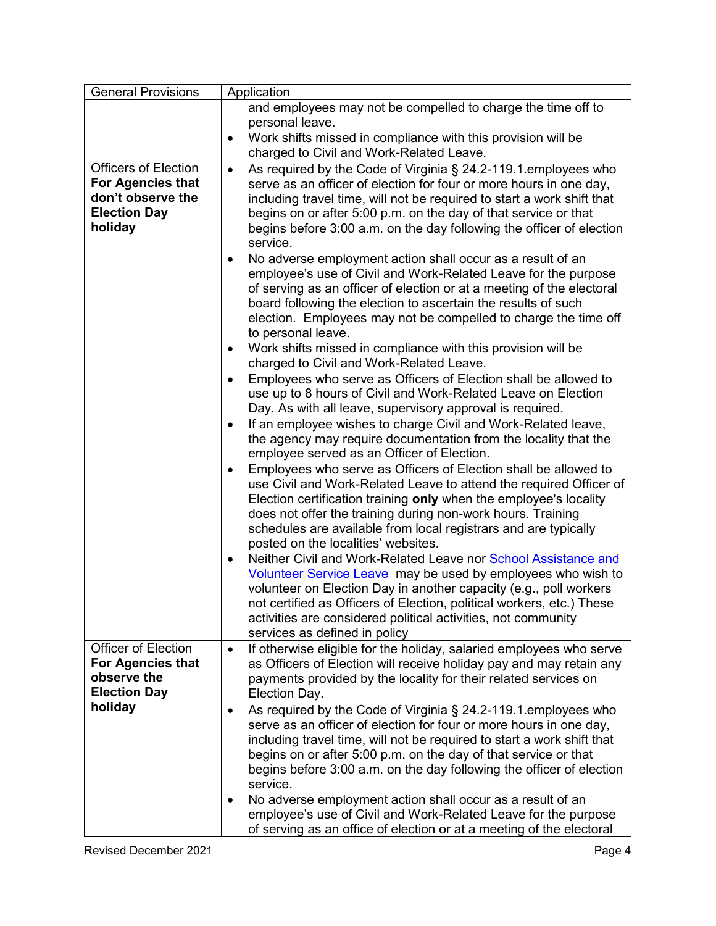| General Provisions                                                                           | Application                                                                                                                                                                                                                                                                                                                                                                                      |
|----------------------------------------------------------------------------------------------|--------------------------------------------------------------------------------------------------------------------------------------------------------------------------------------------------------------------------------------------------------------------------------------------------------------------------------------------------------------------------------------------------|
|                                                                                              | and employees may not be compelled to charge the time off to                                                                                                                                                                                                                                                                                                                                     |
|                                                                                              | personal leave.                                                                                                                                                                                                                                                                                                                                                                                  |
|                                                                                              | Work shifts missed in compliance with this provision will be<br>$\bullet$<br>charged to Civil and Work-Related Leave.                                                                                                                                                                                                                                                                            |
| <b>Officers of Election</b>                                                                  | As required by the Code of Virginia § 24.2-119.1. employees who<br>$\bullet$                                                                                                                                                                                                                                                                                                                     |
| For Agencies that<br>don't observe the<br><b>Election Day</b><br>holiday                     | serve as an officer of election for four or more hours in one day,<br>including travel time, will not be required to start a work shift that<br>begins on or after 5:00 p.m. on the day of that service or that<br>begins before 3:00 a.m. on the day following the officer of election<br>service.                                                                                              |
|                                                                                              | No adverse employment action shall occur as a result of an<br>٠<br>employee's use of Civil and Work-Related Leave for the purpose<br>of serving as an officer of election or at a meeting of the electoral<br>board following the election to ascertain the results of such<br>election. Employees may not be compelled to charge the time off<br>to personal leave.                             |
|                                                                                              | Work shifts missed in compliance with this provision will be<br>$\bullet$<br>charged to Civil and Work-Related Leave.                                                                                                                                                                                                                                                                            |
|                                                                                              | Employees who serve as Officers of Election shall be allowed to<br>use up to 8 hours of Civil and Work-Related Leave on Election<br>Day. As with all leave, supervisory approval is required.                                                                                                                                                                                                    |
|                                                                                              | If an employee wishes to charge Civil and Work-Related leave,<br>$\bullet$<br>the agency may require documentation from the locality that the<br>employee served as an Officer of Election.                                                                                                                                                                                                      |
|                                                                                              | Employees who serve as Officers of Election shall be allowed to<br>$\bullet$<br>use Civil and Work-Related Leave to attend the required Officer of<br>Election certification training only when the employee's locality<br>does not offer the training during non-work hours. Training<br>schedules are available from local registrars and are typically<br>posted on the localities' websites. |
|                                                                                              | Neither Civil and Work-Related Leave nor School Assistance and<br>$\bullet$<br>Volunteer Service Leave may be used by employees who wish to<br>volunteer on Election Day in another capacity (e.g., poll workers<br>not certified as Officers of Election, political workers, etc.) These<br>activities are considered political activities, not community<br>services as defined in policy      |
| <b>Officer of Election</b><br><b>For Agencies that</b><br>observe the<br><b>Election Day</b> | If otherwise eligible for the holiday, salaried employees who serve<br>$\bullet$<br>as Officers of Election will receive holiday pay and may retain any<br>payments provided by the locality for their related services on<br>Election Day.                                                                                                                                                      |
| holiday                                                                                      | As required by the Code of Virginia § 24.2-119.1. employees who<br>٠<br>serve as an officer of election for four or more hours in one day,<br>including travel time, will not be required to start a work shift that<br>begins on or after 5:00 p.m. on the day of that service or that<br>begins before 3:00 a.m. on the day following the officer of election<br>service.                      |
|                                                                                              | No adverse employment action shall occur as a result of an<br>employee's use of Civil and Work-Related Leave for the purpose<br>of serving as an office of election or at a meeting of the electoral                                                                                                                                                                                             |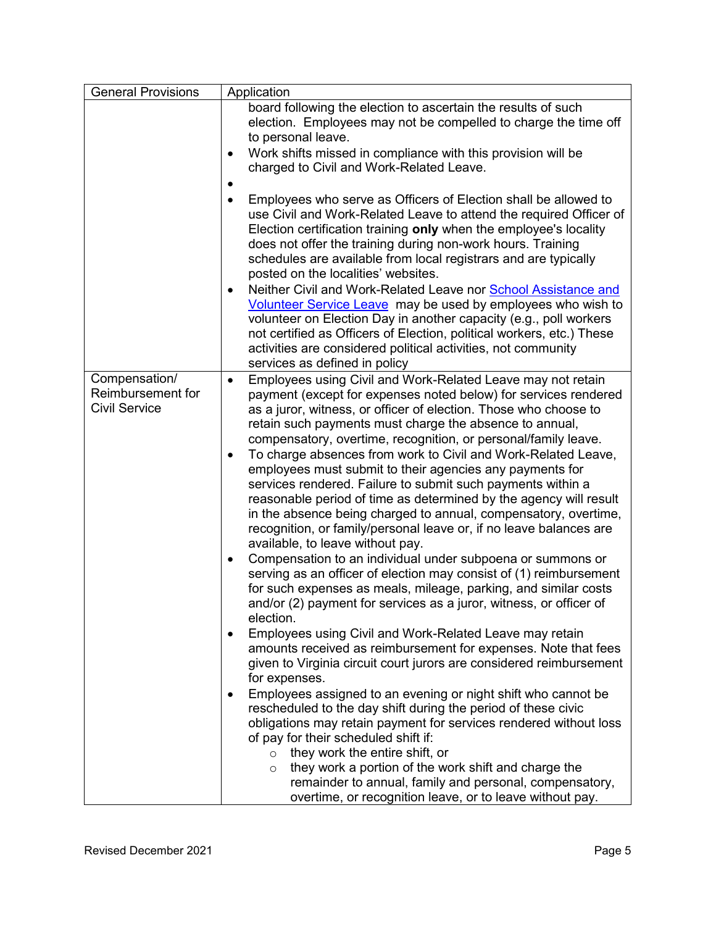| <b>General Provisions</b>                                  | Application                                                                                                                                                                                                                                                                                                                                                                                                                                                                                                                                                                                                                                                                                                                                                                                                                                                                                                                                                                                                                                                                                                                                                                                                                                                                                                             |
|------------------------------------------------------------|-------------------------------------------------------------------------------------------------------------------------------------------------------------------------------------------------------------------------------------------------------------------------------------------------------------------------------------------------------------------------------------------------------------------------------------------------------------------------------------------------------------------------------------------------------------------------------------------------------------------------------------------------------------------------------------------------------------------------------------------------------------------------------------------------------------------------------------------------------------------------------------------------------------------------------------------------------------------------------------------------------------------------------------------------------------------------------------------------------------------------------------------------------------------------------------------------------------------------------------------------------------------------------------------------------------------------|
|                                                            | board following the election to ascertain the results of such<br>election. Employees may not be compelled to charge the time off<br>to personal leave.<br>Work shifts missed in compliance with this provision will be<br>charged to Civil and Work-Related Leave.                                                                                                                                                                                                                                                                                                                                                                                                                                                                                                                                                                                                                                                                                                                                                                                                                                                                                                                                                                                                                                                      |
|                                                            | Employees who serve as Officers of Election shall be allowed to<br>$\bullet$<br>use Civil and Work-Related Leave to attend the required Officer of<br>Election certification training only when the employee's locality<br>does not offer the training during non-work hours. Training<br>schedules are available from local registrars and are typically<br>posted on the localities' websites.<br>Neither Civil and Work-Related Leave nor School Assistance and<br>$\bullet$<br>Volunteer Service Leave may be used by employees who wish to<br>volunteer on Election Day in another capacity (e.g., poll workers<br>not certified as Officers of Election, political workers, etc.) These<br>activities are considered political activities, not community                                                                                                                                                                                                                                                                                                                                                                                                                                                                                                                                                          |
|                                                            | services as defined in policy                                                                                                                                                                                                                                                                                                                                                                                                                                                                                                                                                                                                                                                                                                                                                                                                                                                                                                                                                                                                                                                                                                                                                                                                                                                                                           |
| Compensation/<br>Reimbursement for<br><b>Civil Service</b> | Employees using Civil and Work-Related Leave may not retain<br>$\bullet$<br>payment (except for expenses noted below) for services rendered<br>as a juror, witness, or officer of election. Those who choose to<br>retain such payments must charge the absence to annual,<br>compensatory, overtime, recognition, or personal/family leave.<br>To charge absences from work to Civil and Work-Related Leave,<br>٠<br>employees must submit to their agencies any payments for<br>services rendered. Failure to submit such payments within a<br>reasonable period of time as determined by the agency will result<br>in the absence being charged to annual, compensatory, overtime,<br>recognition, or family/personal leave or, if no leave balances are<br>available, to leave without pay.<br>Compensation to an individual under subpoena or summons or<br>$\bullet$<br>serving as an officer of election may consist of (1) reimbursement<br>for such expenses as meals, mileage, parking, and similar costs<br>and/or (2) payment for services as a juror, witness, or officer of<br>election.<br>Employees using Civil and Work-Related Leave may retain<br>$\bullet$<br>amounts received as reimbursement for expenses. Note that fees<br>given to Virginia circuit court jurors are considered reimbursement |
|                                                            | for expenses.<br>Employees assigned to an evening or night shift who cannot be<br>rescheduled to the day shift during the period of these civic<br>obligations may retain payment for services rendered without loss<br>of pay for their scheduled shift if:<br>they work the entire shift, or<br>$\circ$<br>they work a portion of the work shift and charge the<br>$\circ$<br>remainder to annual, family and personal, compensatory,<br>overtime, or recognition leave, or to leave without pay.                                                                                                                                                                                                                                                                                                                                                                                                                                                                                                                                                                                                                                                                                                                                                                                                                     |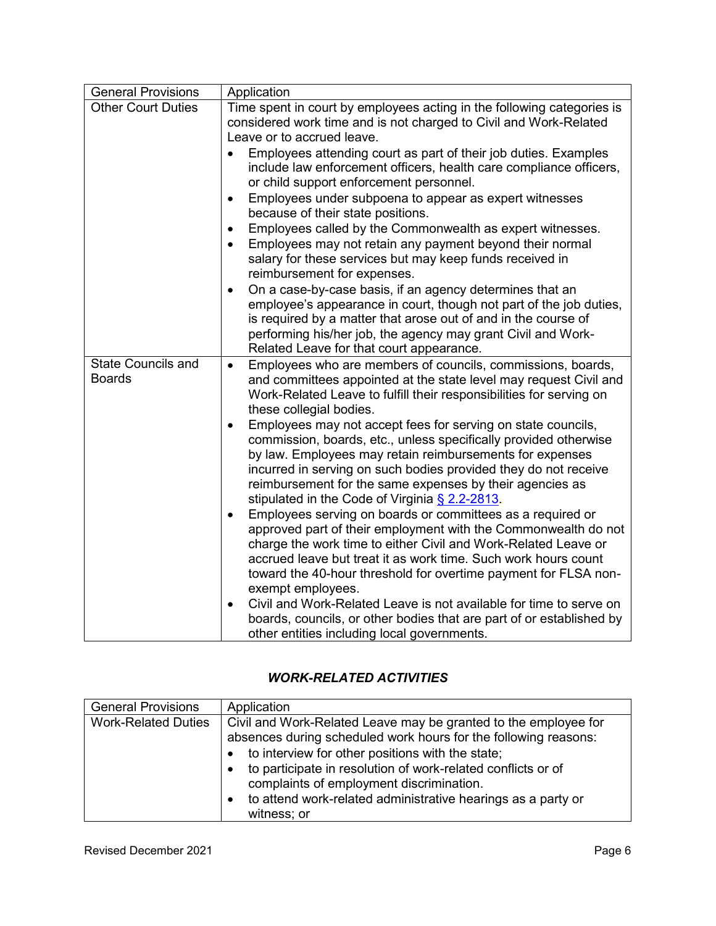| <b>General Provisions</b>                  | Application                                                                                                                                                                                                                                                                                                                                                                                |
|--------------------------------------------|--------------------------------------------------------------------------------------------------------------------------------------------------------------------------------------------------------------------------------------------------------------------------------------------------------------------------------------------------------------------------------------------|
| <b>Other Court Duties</b>                  | Time spent in court by employees acting in the following categories is<br>considered work time and is not charged to Civil and Work-Related<br>Leave or to accrued leave.                                                                                                                                                                                                                  |
|                                            | Employees attending court as part of their job duties. Examples<br>$\bullet$<br>include law enforcement officers, health care compliance officers,<br>or child support enforcement personnel.                                                                                                                                                                                              |
|                                            | Employees under subpoena to appear as expert witnesses<br>$\bullet$<br>because of their state positions.                                                                                                                                                                                                                                                                                   |
|                                            | Employees called by the Commonwealth as expert witnesses.<br>$\bullet$<br>Employees may not retain any payment beyond their normal<br>$\bullet$<br>salary for these services but may keep funds received in<br>reimbursement for expenses.                                                                                                                                                 |
|                                            | On a case-by-case basis, if an agency determines that an<br>$\bullet$<br>employee's appearance in court, though not part of the job duties,<br>is required by a matter that arose out of and in the course of<br>performing his/her job, the agency may grant Civil and Work-<br>Related Leave for that court appearance.                                                                  |
| <b>State Councils and</b><br><b>Boards</b> | Employees who are members of councils, commissions, boards,<br>$\bullet$<br>and committees appointed at the state level may request Civil and<br>Work-Related Leave to fulfill their responsibilities for serving on<br>these collegial bodies.                                                                                                                                            |
|                                            | Employees may not accept fees for serving on state councils,<br>$\bullet$<br>commission, boards, etc., unless specifically provided otherwise<br>by law. Employees may retain reimbursements for expenses<br>incurred in serving on such bodies provided they do not receive<br>reimbursement for the same expenses by their agencies as<br>stipulated in the Code of Virginia § 2.2-2813. |
|                                            | Employees serving on boards or committees as a required or<br>$\bullet$<br>approved part of their employment with the Commonwealth do not<br>charge the work time to either Civil and Work-Related Leave or<br>accrued leave but treat it as work time. Such work hours count<br>toward the 40-hour threshold for overtime payment for FLSA non-<br>exempt employees.                      |
|                                            | Civil and Work-Related Leave is not available for time to serve on<br>$\bullet$<br>boards, councils, or other bodies that are part of or established by<br>other entities including local governments.                                                                                                                                                                                     |

# *WORK-RELATED ACTIVITIES*

| <b>General Provisions</b>  | Application                                                                                                                                                                                                                                                                                                                                                                       |
|----------------------------|-----------------------------------------------------------------------------------------------------------------------------------------------------------------------------------------------------------------------------------------------------------------------------------------------------------------------------------------------------------------------------------|
| <b>Work-Related Duties</b> | Civil and Work-Related Leave may be granted to the employee for<br>absences during scheduled work hours for the following reasons:<br>to interview for other positions with the state;<br>to participate in resolution of work-related conflicts or of<br>complaints of employment discrimination.<br>to attend work-related administrative hearings as a party or<br>witness; or |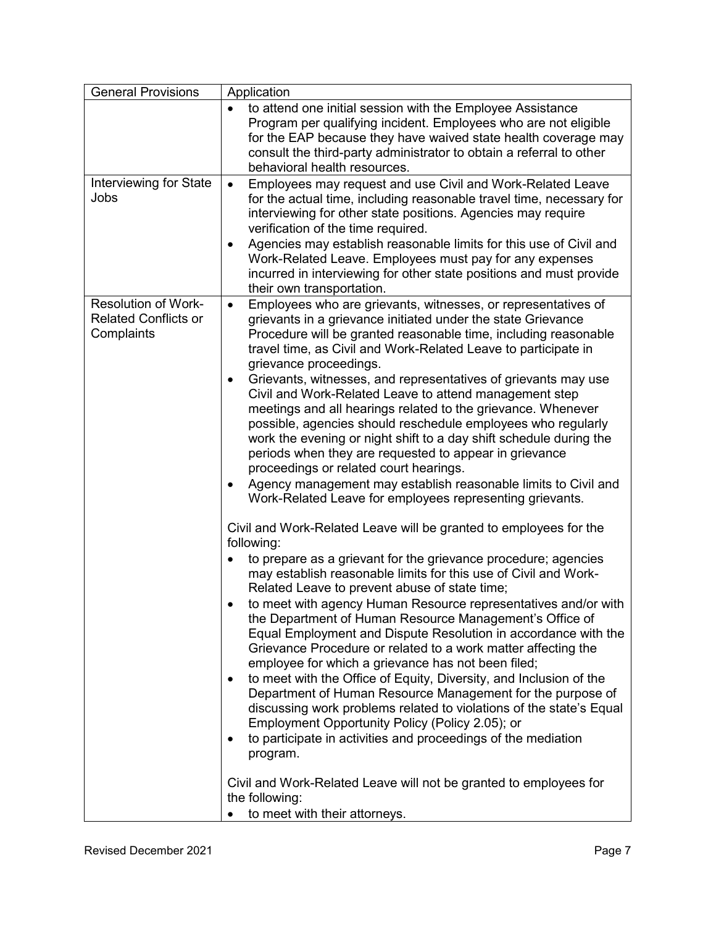| <b>General Provisions</b>                                               | Application                                                                                                                                                                                                                                                                                                                                                                                                                                                                                                                                                                                                                                                                                                                                                                                                                                                                                                                                                                                                                                             |
|-------------------------------------------------------------------------|---------------------------------------------------------------------------------------------------------------------------------------------------------------------------------------------------------------------------------------------------------------------------------------------------------------------------------------------------------------------------------------------------------------------------------------------------------------------------------------------------------------------------------------------------------------------------------------------------------------------------------------------------------------------------------------------------------------------------------------------------------------------------------------------------------------------------------------------------------------------------------------------------------------------------------------------------------------------------------------------------------------------------------------------------------|
|                                                                         | to attend one initial session with the Employee Assistance<br>$\bullet$<br>Program per qualifying incident. Employees who are not eligible<br>for the EAP because they have waived state health coverage may<br>consult the third-party administrator to obtain a referral to other<br>behavioral health resources.                                                                                                                                                                                                                                                                                                                                                                                                                                                                                                                                                                                                                                                                                                                                     |
| Interviewing for State<br>Jobs                                          | Employees may request and use Civil and Work-Related Leave<br>$\bullet$<br>for the actual time, including reasonable travel time, necessary for<br>interviewing for other state positions. Agencies may require<br>verification of the time required.<br>Agencies may establish reasonable limits for this use of Civil and<br>$\bullet$<br>Work-Related Leave. Employees must pay for any expenses<br>incurred in interviewing for other state positions and must provide<br>their own transportation.                                                                                                                                                                                                                                                                                                                                                                                                                                                                                                                                                 |
| <b>Resolution of Work-</b><br><b>Related Conflicts or</b><br>Complaints | Employees who are grievants, witnesses, or representatives of<br>$\bullet$<br>grievants in a grievance initiated under the state Grievance<br>Procedure will be granted reasonable time, including reasonable<br>travel time, as Civil and Work-Related Leave to participate in<br>grievance proceedings.                                                                                                                                                                                                                                                                                                                                                                                                                                                                                                                                                                                                                                                                                                                                               |
|                                                                         | Grievants, witnesses, and representatives of grievants may use<br>$\bullet$<br>Civil and Work-Related Leave to attend management step<br>meetings and all hearings related to the grievance. Whenever<br>possible, agencies should reschedule employees who regularly<br>work the evening or night shift to a day shift schedule during the<br>periods when they are requested to appear in grievance<br>proceedings or related court hearings.<br>Agency management may establish reasonable limits to Civil and<br>٠<br>Work-Related Leave for employees representing grievants.                                                                                                                                                                                                                                                                                                                                                                                                                                                                      |
|                                                                         | Civil and Work-Related Leave will be granted to employees for the<br>following:<br>to prepare as a grievant for the grievance procedure; agencies<br>$\bullet$<br>may establish reasonable limits for this use of Civil and Work-<br>Related Leave to prevent abuse of state time;<br>to meet with agency Human Resource representatives and/or with<br>the Department of Human Resource Management's Office of<br>Equal Employment and Dispute Resolution in accordance with the<br>Grievance Procedure or related to a work matter affecting the<br>employee for which a grievance has not been filed;<br>to meet with the Office of Equity, Diversity, and Inclusion of the<br>$\bullet$<br>Department of Human Resource Management for the purpose of<br>discussing work problems related to violations of the state's Equal<br>Employment Opportunity Policy (Policy 2.05); or<br>to participate in activities and proceedings of the mediation<br>program.<br>Civil and Work-Related Leave will not be granted to employees for<br>the following: |
|                                                                         | to meet with their attorneys.                                                                                                                                                                                                                                                                                                                                                                                                                                                                                                                                                                                                                                                                                                                                                                                                                                                                                                                                                                                                                           |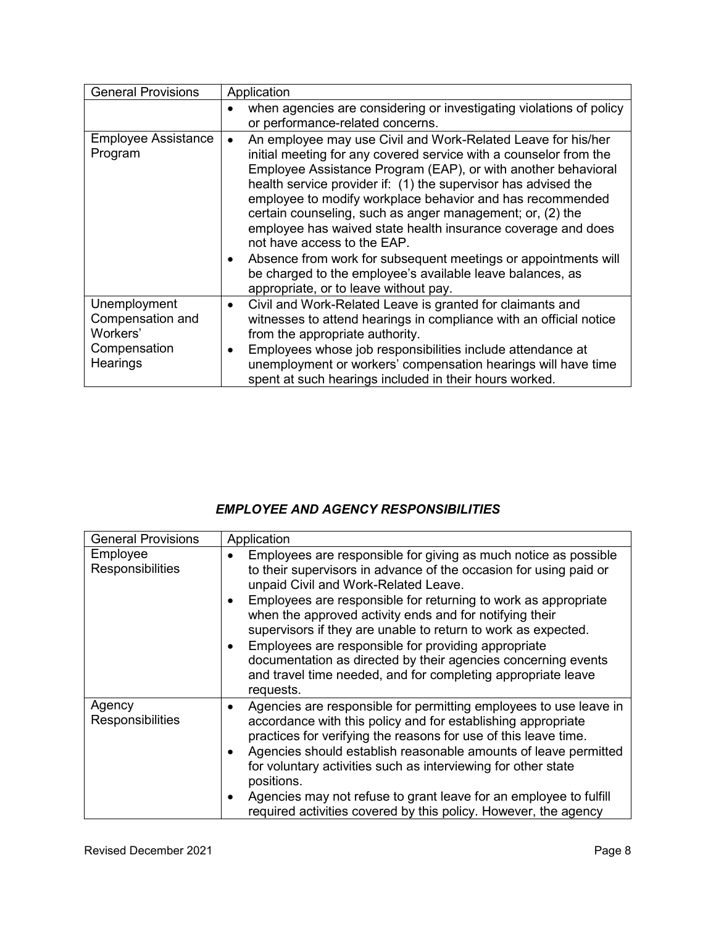| <b>General Provisions</b>                                                | Application                                                                                                                                                                                                                                                                                                                                                                                                                                                                                                                                                                                                                                                                        |
|--------------------------------------------------------------------------|------------------------------------------------------------------------------------------------------------------------------------------------------------------------------------------------------------------------------------------------------------------------------------------------------------------------------------------------------------------------------------------------------------------------------------------------------------------------------------------------------------------------------------------------------------------------------------------------------------------------------------------------------------------------------------|
|                                                                          | when agencies are considering or investigating violations of policy<br>or performance-related concerns.                                                                                                                                                                                                                                                                                                                                                                                                                                                                                                                                                                            |
| <b>Employee Assistance</b><br>Program                                    | An employee may use Civil and Work-Related Leave for his/her<br>$\bullet$<br>initial meeting for any covered service with a counselor from the<br>Employee Assistance Program (EAP), or with another behavioral<br>health service provider if: (1) the supervisor has advised the<br>employee to modify workplace behavior and has recommended<br>certain counseling, such as anger management; or, (2) the<br>employee has waived state health insurance coverage and does<br>not have access to the EAP.<br>Absence from work for subsequent meetings or appointments will<br>be charged to the employee's available leave balances, as<br>appropriate, or to leave without pay. |
| Unemployment<br>Compensation and<br>Workers'<br>Compensation<br>Hearings | Civil and Work-Related Leave is granted for claimants and<br>$\bullet$<br>witnesses to attend hearings in compliance with an official notice<br>from the appropriate authority.<br>Employees whose job responsibilities include attendance at<br>٠<br>unemployment or workers' compensation hearings will have time<br>spent at such hearings included in their hours worked.                                                                                                                                                                                                                                                                                                      |

## *EMPLOYEE AND AGENCY RESPONSIBILITIES*

| <b>General Provisions</b>    | Application                                                                                                                                                                                                                                                                                                                                                                                                                                                                                                                                                                                  |
|------------------------------|----------------------------------------------------------------------------------------------------------------------------------------------------------------------------------------------------------------------------------------------------------------------------------------------------------------------------------------------------------------------------------------------------------------------------------------------------------------------------------------------------------------------------------------------------------------------------------------------|
| Employee<br>Responsibilities | Employees are responsible for giving as much notice as possible<br>$\bullet$<br>to their supervisors in advance of the occasion for using paid or<br>unpaid Civil and Work-Related Leave.<br>Employees are responsible for returning to work as appropriate<br>when the approved activity ends and for notifying their<br>supervisors if they are unable to return to work as expected.<br>Employees are responsible for providing appropriate<br>documentation as directed by their agencies concerning events<br>and travel time needed, and for completing appropriate leave<br>requests. |
| Agency<br>Responsibilities   | Agencies are responsible for permitting employees to use leave in<br>$\bullet$<br>accordance with this policy and for establishing appropriate<br>practices for verifying the reasons for use of this leave time.<br>Agencies should establish reasonable amounts of leave permitted<br>$\bullet$<br>for voluntary activities such as interviewing for other state<br>positions.<br>Agencies may not refuse to grant leave for an employee to fulfill<br>required activities covered by this policy. However, the agency                                                                     |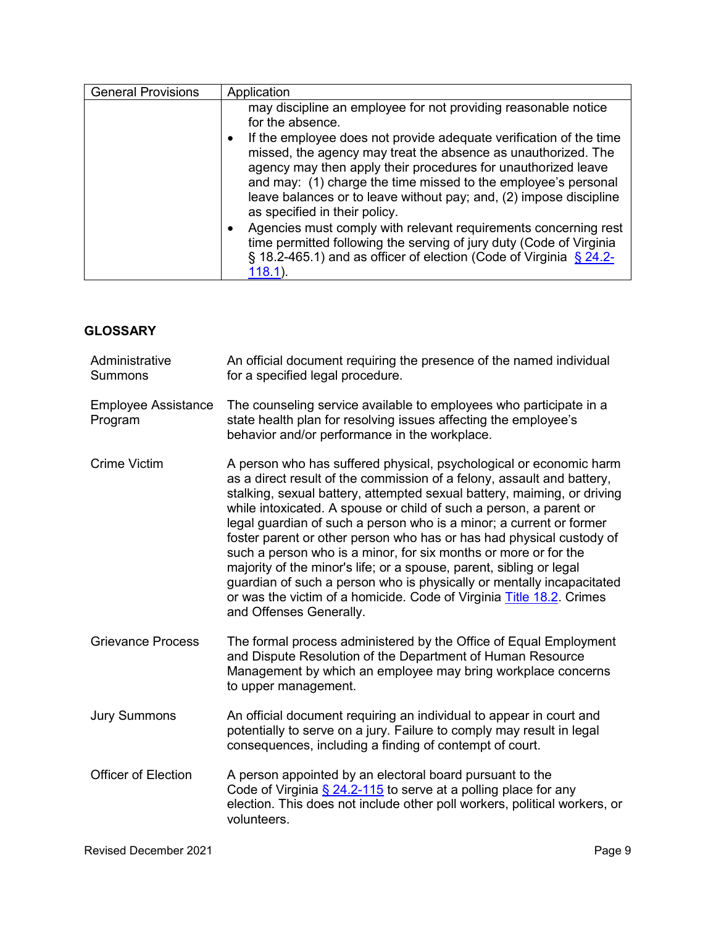| <b>General Provisions</b> | Application                                                                                                                                                                                                                                                                                                                                                                   |
|---------------------------|-------------------------------------------------------------------------------------------------------------------------------------------------------------------------------------------------------------------------------------------------------------------------------------------------------------------------------------------------------------------------------|
|                           | may discipline an employee for not providing reasonable notice<br>for the absence.                                                                                                                                                                                                                                                                                            |
|                           | If the employee does not provide adequate verification of the time<br>missed, the agency may treat the absence as unauthorized. The<br>agency may then apply their procedures for unauthorized leave<br>and may: (1) charge the time missed to the employee's personal<br>leave balances or to leave without pay; and, (2) impose discipline<br>as specified in their policy. |
|                           | Agencies must comply with relevant requirements concerning rest<br>time permitted following the serving of jury duty (Code of Virginia<br>$\S$ 18.2-465.1) and as officer of election (Code of Virginia $\S$ 24.2-<br>$118.1$ ).                                                                                                                                              |

## **GLOSSARY**

| Administrative<br><b>Summons</b>      | An official document requiring the presence of the named individual<br>for a specified legal procedure.                                                                                                                                                                                                                                                                                                                                                                                                                                                                                                                                                                                                                                                            |
|---------------------------------------|--------------------------------------------------------------------------------------------------------------------------------------------------------------------------------------------------------------------------------------------------------------------------------------------------------------------------------------------------------------------------------------------------------------------------------------------------------------------------------------------------------------------------------------------------------------------------------------------------------------------------------------------------------------------------------------------------------------------------------------------------------------------|
| <b>Employee Assistance</b><br>Program | The counseling service available to employees who participate in a<br>state health plan for resolving issues affecting the employee's<br>behavior and/or performance in the workplace.                                                                                                                                                                                                                                                                                                                                                                                                                                                                                                                                                                             |
| <b>Crime Victim</b>                   | A person who has suffered physical, psychological or economic harm<br>as a direct result of the commission of a felony, assault and battery,<br>stalking, sexual battery, attempted sexual battery, maiming, or driving<br>while intoxicated. A spouse or child of such a person, a parent or<br>legal guardian of such a person who is a minor; a current or former<br>foster parent or other person who has or has had physical custody of<br>such a person who is a minor, for six months or more or for the<br>majority of the minor's life; or a spouse, parent, sibling or legal<br>guardian of such a person who is physically or mentally incapacitated<br>or was the victim of a homicide. Code of Virginia Title 18.2. Crimes<br>and Offenses Generally. |
| <b>Grievance Process</b>              | The formal process administered by the Office of Equal Employment<br>and Dispute Resolution of the Department of Human Resource<br>Management by which an employee may bring workplace concerns<br>to upper management.                                                                                                                                                                                                                                                                                                                                                                                                                                                                                                                                            |
| <b>Jury Summons</b>                   | An official document requiring an individual to appear in court and<br>potentially to serve on a jury. Failure to comply may result in legal<br>consequences, including a finding of contempt of court.                                                                                                                                                                                                                                                                                                                                                                                                                                                                                                                                                            |
| <b>Officer of Election</b>            | A person appointed by an electoral board pursuant to the<br>Code of Virginia § 24.2-115 to serve at a polling place for any<br>election. This does not include other poll workers, political workers, or<br>volunteers.                                                                                                                                                                                                                                                                                                                                                                                                                                                                                                                                            |